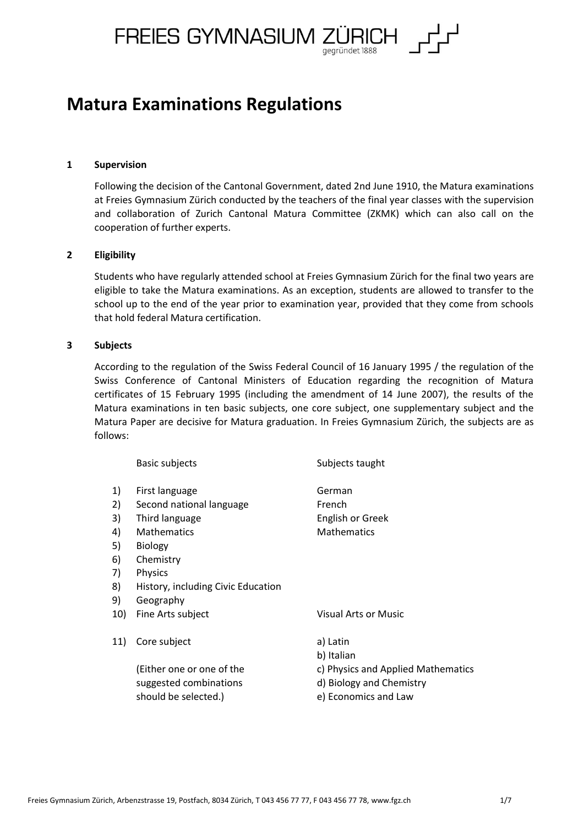FREIES GYMNASIUM ZÜRICH gegründet 1888

# **Matura Examinations Regulations**

## **1 Supervision**

Following the decision of the Cantonal Government, dated 2nd June 1910, the Matura examinations at Freies Gymnasium Zürich conducted by the teachers of the final year classes with the supervision and collaboration of Zurich Cantonal Matura Committee (ZKMK) which can also call on the cooperation of further experts.

## **2 Eligibility**

Students who have regularly attended school at Freies Gymnasium Zürich for the final two years are eligible to take the Matura examinations. As an exception, students are allowed to transfer to the school up to the end of the year prior to examination year, provided that they come from schools that hold federal Matura certification.

#### **3 Subjects**

According to the regulation of the Swiss Federal Council of 16 January 1995 / the regulation of the Swiss Conference of Cantonal Ministers of Education regarding the recognition of Matura certificates of 15 February 1995 (including the amendment of 14 June 2007), the results of the Matura examinations in ten basic subjects, one core subject, one supplementary subject and the Matura Paper are decisive for Matura graduation. In Freies Gymnasium Zürich, the subjects are as follows:

|     | <b>Basic subjects</b>                                                       | Subjects taught                                                                        |
|-----|-----------------------------------------------------------------------------|----------------------------------------------------------------------------------------|
| 1)  | First language                                                              | German                                                                                 |
| 2)  | Second national language                                                    | French                                                                                 |
| 3)  | Third language                                                              | <b>English or Greek</b>                                                                |
| 4)  | <b>Mathematics</b>                                                          | <b>Mathematics</b>                                                                     |
| 5)  | <b>Biology</b>                                                              |                                                                                        |
| 6)  | Chemistry                                                                   |                                                                                        |
| 7)  | <b>Physics</b>                                                              |                                                                                        |
| 8)  | History, including Civic Education                                          |                                                                                        |
| 9)  | Geography                                                                   |                                                                                        |
| 10) | Fine Arts subject                                                           | Visual Arts or Music                                                                   |
| 11) | Core subject                                                                | a) Latin<br>b) Italian                                                                 |
|     | (Either one or one of the<br>suggested combinations<br>should be selected.) | c) Physics and Applied Mathematics<br>d) Biology and Chemistry<br>e) Economics and Law |
|     |                                                                             |                                                                                        |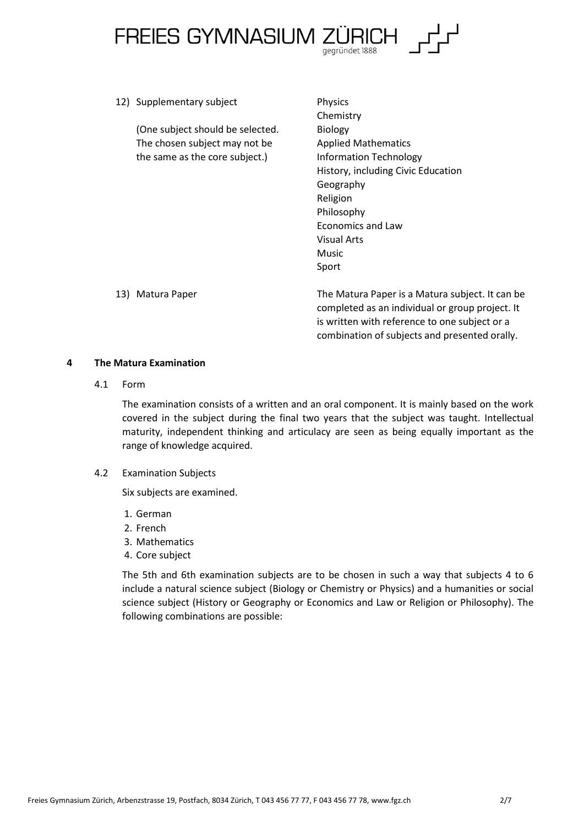

12) Supplementary subject Physics Chemistry (One subject should be selected. Biology The chosen subject may not be Applied Mathematics the same as the core subject.) Information Technology History, including Civic Education Geography Religion Philosophy Economics and Law Visual Arts Music Sport 13) Matura Paper The Matura Paper is a Matura subject. It can be

completed as an individual or group project. It is written with reference to one subject or a combination of subjects and presented orally.

## **4 The Matura Examination**

4.1 Form

The examination consists of a written and an oral component. It is mainly based on the work covered in the subject during the final two years that the subject was taught. Intellectual maturity, independent thinking and articulacy are seen as being equally important as the range of knowledge acquired.

# 4.2 Examination Subjects

Six subjects are examined.

- 1. German
- 2. French
- 3. Mathematics
- 4. Core subject

The 5th and 6th examination subjects are to be chosen in such a way that subjects 4 to 6 include a natural science subject (Biology or Chemistry or Physics) and a humanities or social science subject (History or Geography or Economics and Law or Religion or Philosophy). The following combinations are possible: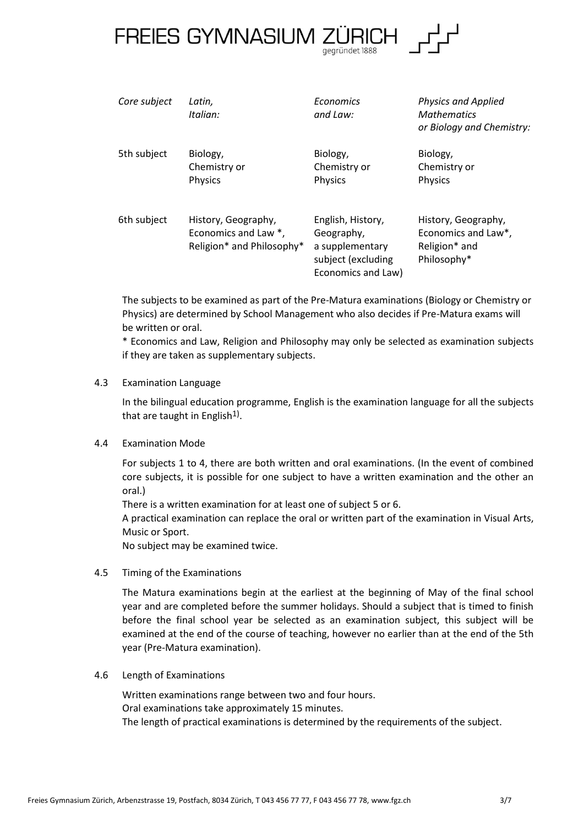

| Core subject | Latin,<br>Italian:                                                       | Economics<br>and Law:                                                                          | <b>Physics and Applied</b><br><b>Mathematics</b><br>or Biology and Chemistry: |
|--------------|--------------------------------------------------------------------------|------------------------------------------------------------------------------------------------|-------------------------------------------------------------------------------|
| 5th subject  | Biology,<br>Chemistry or<br>Physics                                      | Biology,<br>Chemistry or<br>Physics                                                            | Biology,<br>Chemistry or<br>Physics                                           |
| 6th subject  | History, Geography,<br>Economics and Law *,<br>Religion* and Philosophy* | English, History,<br>Geography,<br>a supplementary<br>subject (excluding<br>Economics and Law) | History, Geography,<br>Economics and Law*,<br>Religion* and<br>Philosophy*    |

The subjects to be examined as part of the Pre-Matura examinations (Biology or Chemistry or Physics) are determined by School Management who also decides if Pre-Matura exams will be written or oral.

\* Economics and Law, Religion and Philosophy may only be selected as examination subjects if they are taken as supplementary subjects.

# 4.3 Examination Language

In the bilingual education programme, English is the examination language for all the subjects that are taught in English<sup>1)</sup>.

# 4.4 Examination Mode

For subjects 1 to 4, there are both written and oral examinations. (In the event of combined core subjects, it is possible for one subject to have a written examination and the other an oral.)

There is a written examination for at least one of subject 5 or 6.

A practical examination can replace the oral or written part of the examination in Visual Arts, Music or Sport.

No subject may be examined twice.

# 4.5 Timing of the Examinations

The Matura examinations begin at the earliest at the beginning of May of the final school year and are completed before the summer holidays. Should a subject that is timed to finish before the final school year be selected as an examination subject, this subject will be examined at the end of the course of teaching, however no earlier than at the end of the 5th year (Pre-Matura examination).

# 4.6 Length of Examinations

Written examinations range between two and four hours. Oral examinations take approximately 15 minutes. The length of practical examinations is determined by the requirements of the subject.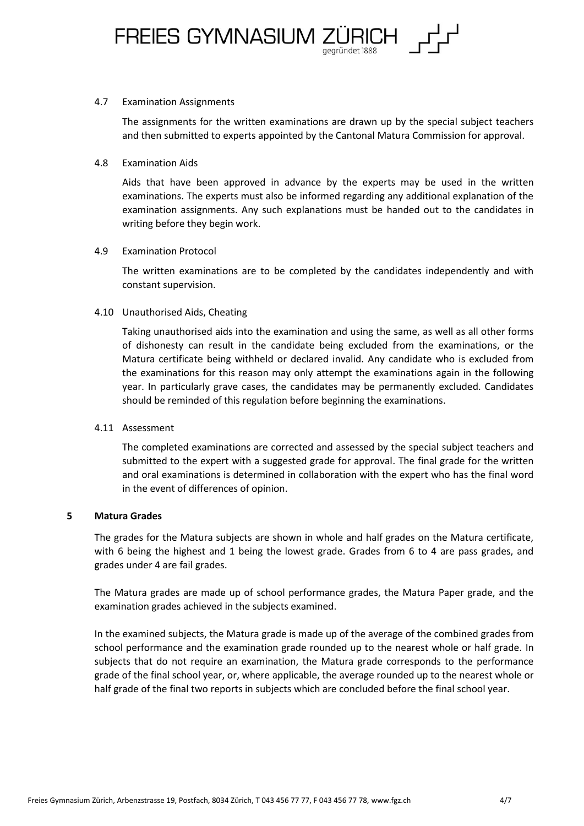

#### 4.7 Examination Assignments

The assignments for the written examinations are drawn up by the special subject teachers and then submitted to experts appointed by the Cantonal Matura Commission for approval.

## 4.8 Examination Aids

Aids that have been approved in advance by the experts may be used in the written examinations. The experts must also be informed regarding any additional explanation of the examination assignments. Any such explanations must be handed out to the candidates in writing before they begin work.

# 4.9 Examination Protocol

The written examinations are to be completed by the candidates independently and with constant supervision.

# 4.10 Unauthorised Aids, Cheating

Taking unauthorised aids into the examination and using the same, as well as all other forms of dishonesty can result in the candidate being excluded from the examinations, or the Matura certificate being withheld or declared invalid. Any candidate who is excluded from the examinations for this reason may only attempt the examinations again in the following year. In particularly grave cases, the candidates may be permanently excluded. Candidates should be reminded of this regulation before beginning the examinations.

# 4.11 Assessment

The completed examinations are corrected and assessed by the special subject teachers and submitted to the expert with a suggested grade for approval. The final grade for the written and oral examinations is determined in collaboration with the expert who has the final word in the event of differences of opinion.

# **5 Matura Grades**

The grades for the Matura subjects are shown in whole and half grades on the Matura certificate, with 6 being the highest and 1 being the lowest grade. Grades from 6 to 4 are pass grades, and grades under 4 are fail grades.

The Matura grades are made up of school performance grades, the Matura Paper grade, and the examination grades achieved in the subjects examined.

In the examined subjects, the Matura grade is made up of the average of the combined grades from school performance and the examination grade rounded up to the nearest whole or half grade. In subjects that do not require an examination, the Matura grade corresponds to the performance grade of the final school year, or, where applicable, the average rounded up to the nearest whole or half grade of the final two reports in subjects which are concluded before the final school year.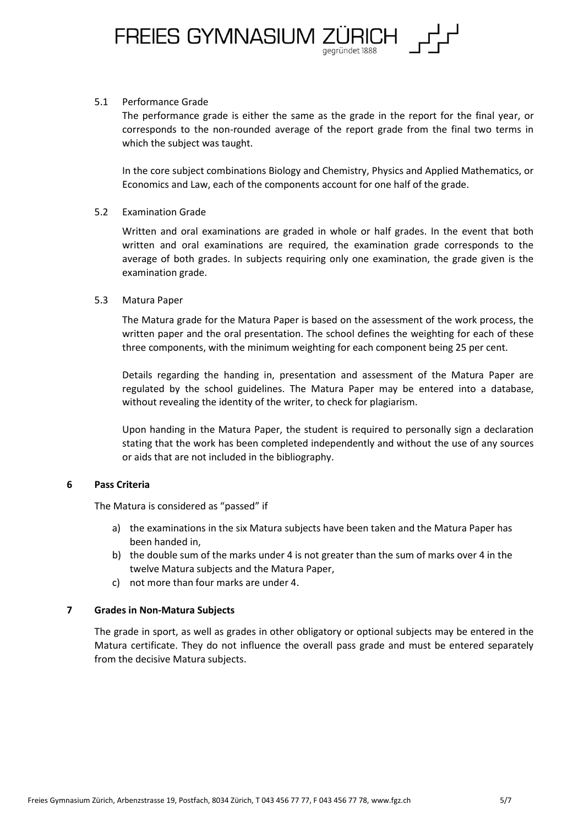

## 5.1 Performance Grade

The performance grade is either the same as the grade in the report for the final year, or corresponds to the non-rounded average of the report grade from the final two terms in which the subject was taught.

In the core subject combinations Biology and Chemistry, Physics and Applied Mathematics, or Economics and Law, each of the components account for one half of the grade.

## 5.2 Examination Grade

Written and oral examinations are graded in whole or half grades. In the event that both written and oral examinations are required, the examination grade corresponds to the average of both grades. In subjects requiring only one examination, the grade given is the examination grade.

## 5.3 Matura Paper

The Matura grade for the Matura Paper is based on the assessment of the work process, the written paper and the oral presentation. The school defines the weighting for each of these three components, with the minimum weighting for each component being 25 per cent.

Details regarding the handing in, presentation and assessment of the Matura Paper are regulated by the school guidelines. The Matura Paper may be entered into a database, without revealing the identity of the writer, to check for plagiarism.

Upon handing in the Matura Paper, the student is required to personally sign a declaration stating that the work has been completed independently and without the use of any sources or aids that are not included in the bibliography.

#### **6 Pass Criteria**

The Matura is considered as "passed" if

- a) the examinations in the six Matura subjects have been taken and the Matura Paper has been handed in,
- b) the double sum of the marks under 4 is not greater than the sum of marks over 4 in the twelve Matura subjects and the Matura Paper,
- c) not more than four marks are under 4.

# **7 Grades in Non-Matura Subjects**

The grade in sport, as well as grades in other obligatory or optional subjects may be entered in the Matura certificate. They do not influence the overall pass grade and must be entered separately from the decisive Matura subjects.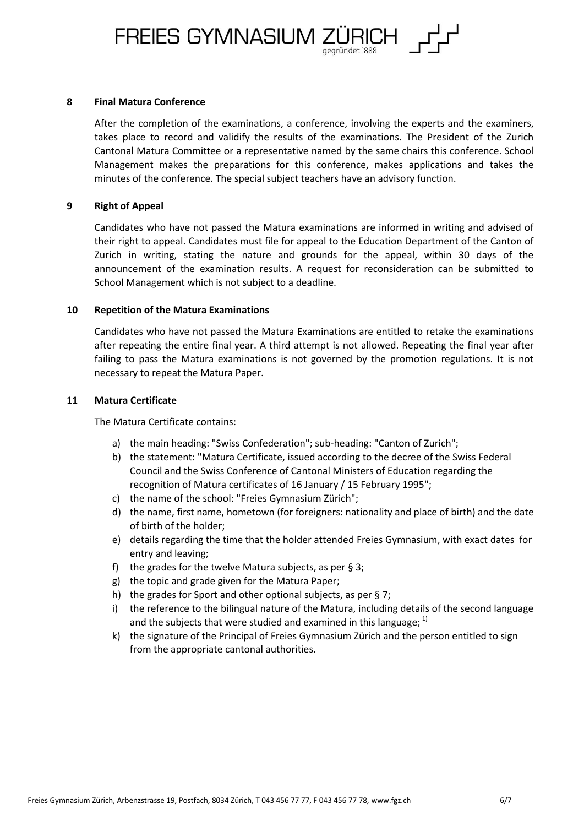FREIES GYMNASIUM ZÜRICH

#### **8 Final Matura Conference**

After the completion of the examinations, a conference, involving the experts and the examiners, takes place to record and validify the results of the examinations. The President of the Zurich Cantonal Matura Committee or a representative named by the same chairs this conference. School Management makes the preparations for this conference, makes applications and takes the minutes of the conference. The special subject teachers have an advisory function.

#### **9 Right of Appeal**

Candidates who have not passed the Matura examinations are informed in writing and advised of their right to appeal. Candidates must file for appeal to the Education Department of the Canton of Zurich in writing, stating the nature and grounds for the appeal, within 30 days of the announcement of the examination results. A request for reconsideration can be submitted to School Management which is not subject to a deadline.

#### **10 Repetition of the Matura Examinations**

Candidates who have not passed the Matura Examinations are entitled to retake the examinations after repeating the entire final year. A third attempt is not allowed. Repeating the final year after failing to pass the Matura examinations is not governed by the promotion regulations. It is not necessary to repeat the Matura Paper.

#### **11 Matura Certificate**

The Matura Certificate contains:

- a) the main heading: "Swiss Confederation"; sub-heading: "Canton of Zurich";
- b) the statement: "Matura Certificate, issued according to the decree of the Swiss Federal Council and the Swiss Conference of Cantonal Ministers of Education regarding the recognition of Matura certificates of 16 January / 15 February 1995";
- c) the name of the school: "Freies Gymnasium Zürich";
- d) the name, first name, hometown (for foreigners: nationality and place of birth) and the date of birth of the holder;
- e) details regarding the time that the holder attended Freies Gymnasium, with exact dates for entry and leaving;
- f) the grades for the twelve Matura subjects, as per  $\S 3$ ;
- g) the topic and grade given for the Matura Paper;
- h) the grades for Sport and other optional subjects, as per § 7;
- i) the reference to the bilingual nature of the Matura, including details of the second language and the subjects that were studied and examined in this language;  $1$
- k) the signature of the Principal of Freies Gymnasium Zürich and the person entitled to sign from the appropriate cantonal authorities.